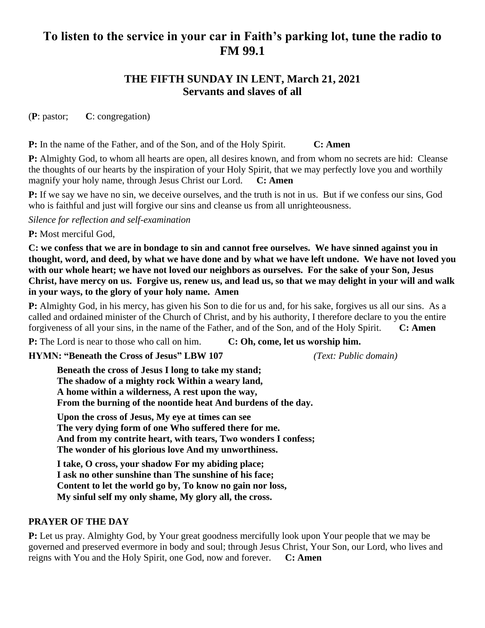# **To listen to the service in your car in Faith's parking lot, tune the radio to FM 99.1**

# **THE FIFTH SUNDAY IN LENT, March 21, 2021 Servants and slaves of all**

(**P**: pastor; **C**: congregation)

**P:** In the name of the Father, and of the Son, and of the Holy Spirit. **C: Amen**

**P:** Almighty God, to whom all hearts are open, all desires known, and from whom no secrets are hid: Cleanse the thoughts of our hearts by the inspiration of your Holy Spirit, that we may perfectly love you and worthily magnify your holy name, through Jesus Christ our Lord. **C: Amen**

**P:** If we say we have no sin, we deceive ourselves, and the truth is not in us. But if we confess our sins, God who is faithful and just will forgive our sins and cleanse us from all unrighteousness.

*Silence for reflection and self-examination*

**P:** Most merciful God,

**C: we confess that we are in bondage to sin and cannot free ourselves. We have sinned against you in thought, word, and deed, by what we have done and by what we have left undone. We have not loved you with our whole heart; we have not loved our neighbors as ourselves. For the sake of your Son, Jesus Christ, have mercy on us. Forgive us, renew us, and lead us, so that we may delight in your will and walk in your ways, to the glory of your holy name. Amen**

**P:** Almighty God, in his mercy, has given his Son to die for us and, for his sake, forgives us all our sins. As a called and ordained minister of the Church of Christ, and by his authority, I therefore declare to you the entire forgiveness of all your sins, in the name of the Father, and of the Son, and of the Holy Spirit. **C: Amen**

**P:** The Lord is near to those who call on him. **C: Oh, come, let us worship him.**

## **HYMN: "Beneath the Cross of Jesus" LBW 107** *(Text: Public domain)*

**Beneath the cross of Jesus I long to take my stand; The shadow of a mighty rock Within a weary land, A home within a wilderness, A rest upon the way, From the burning of the noontide heat And burdens of the day. Upon the cross of Jesus, My eye at times can see The very dying form of one Who suffered there for me. And from my contrite heart, with tears, Two wonders I confess; The wonder of his glorious love And my unworthiness. I take, O cross, your shadow For my abiding place; I ask no other sunshine than The sunshine of his face; Content to let the world go by, To know no gain nor loss,**

**My sinful self my only shame, My glory all, the cross.**

## **PRAYER OF THE DAY**

**P:** Let us pray. Almighty God, by Your great goodness mercifully look upon Your people that we may be governed and preserved evermore in body and soul; through Jesus Christ, Your Son, our Lord, who lives and reigns with You and the Holy Spirit, one God, now and forever. **C: Amen**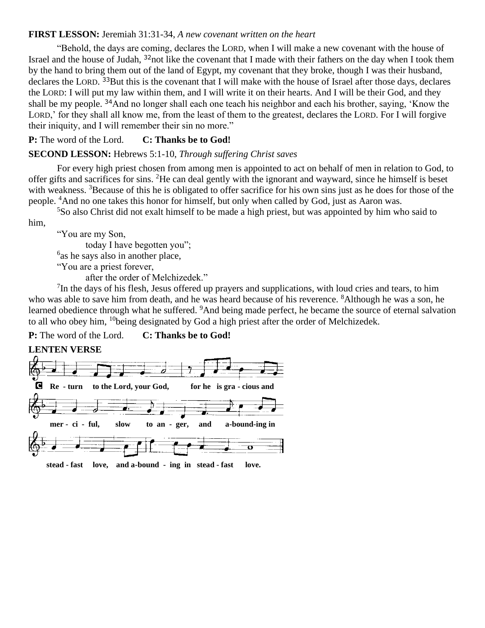#### **FIRST LESSON:** Jeremiah 31:31-34, *A new covenant written on the heart*

"Behold, the days are coming, declares the LORD, when I will make a new covenant with the house of Israel and the house of Judah, <sup>32</sup>not like the covenant that I made with their fathers on the day when I took them by the hand to bring them out of the land of Egypt, my covenant that they broke, though I was their husband, declares the LORD. <sup>33</sup>But this is the covenant that I will make with the house of Israel after those days, declares the LORD: I will put my law within them, and I will write it on their hearts. And I will be their God, and they shall be my people. <sup>34</sup>And no longer shall each one teach his neighbor and each his brother, saying, 'Know the LORD,' for they shall all know me, from the least of them to the greatest, declares the LORD. For I will forgive their iniquity, and I will remember their sin no more."

#### **P:** The word of the Lord. **C: Thanks be to God!**

#### **SECOND LESSON:** Hebrews 5:1-10, *Through suffering Christ saves*

For every high priest chosen from among men is appointed to act on behalf of men in relation to God, to offer gifts and sacrifices for sins. <sup>2</sup>He can deal gently with the ignorant and wayward, since he himself is beset with weakness. <sup>3</sup>Because of this he is obligated to offer sacrifice for his own sins just as he does for those of the people. <sup>4</sup>And no one takes this honor for himself, but only when called by God, just as Aaron was.

<sup>5</sup>So also Christ did not exalt himself to be made a high priest, but was appointed by him who said to

him,

"You are my Son,

today I have begotten you"; <sup>6</sup>as he says also in another place, "You are a priest forever,

after the order of Melchizedek."

 $7$ In the days of his flesh, Jesus offered up prayers and supplications, with loud cries and tears, to him who was able to save him from death, and he was heard because of his reverence. <sup>8</sup>Although he was a son, he learned obedience through what he suffered. <sup>9</sup>And being made perfect, he became the source of eternal salvation to all who obey him, <sup>10</sup>being designated by God a high priest after the order of Melchizedek.

**P:** The word of the Lord. **C: Thanks be to God!**

#### **LENTEN VERSE**

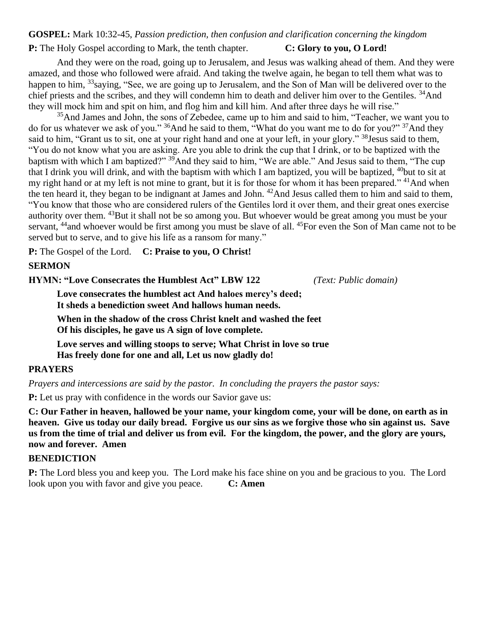#### **GOSPEL:** Mark 10:32-45, *Passion prediction, then confusion and clarification concerning the kingdom*

**P:** The Holy Gospel according to Mark, the tenth chapter. **C: Glory to you, O Lord!**

And they were on the road, going up to Jerusalem, and Jesus was walking ahead of them. And they were amazed, and those who followed were afraid. And taking the twelve again, he began to tell them what was to happen to him, <sup>33</sup>saying, "See, we are going up to Jerusalem, and the Son of Man will be delivered over to the chief priests and the scribes, and they will condemn him to death and deliver him over to the Gentiles. <sup>34</sup>And they will mock him and spit on him, and flog him and kill him. And after three days he will rise."

 $35$ And James and John, the sons of Zebedee, came up to him and said to him, "Teacher, we want you to do for us whatever we ask of you." <sup>36</sup>And he said to them, "What do you want me to do for you?" <sup>37</sup>And they said to him, "Grant us to sit, one at your right hand and one at your left, in your glory." <sup>38</sup>Jesus said to them, "You do not know what you are asking. Are you able to drink the cup that I drink, or to be baptized with the baptism with which I am baptized?" <sup>39</sup>And they said to him, "We are able." And Jesus said to them, "The cup that I drink you will drink, and with the baptism with which I am baptized, you will be baptized, <sup>40</sup>but to sit at my right hand or at my left is not mine to grant, but it is for those for whom it has been prepared." <sup>41</sup>And when the ten heard it, they began to be indignant at James and John. <sup>42</sup>And Jesus called them to him and said to them, "You know that those who are considered rulers of the Gentiles lord it over them, and their great ones exercise authority over them. <sup>43</sup>But it shall not be so among you. But whoever would be great among you must be your servant, <sup>44</sup>and whoever would be first among you must be slave of all. <sup>45</sup>For even the Son of Man came not to be served but to serve, and to give his life as a ransom for many."

**P:** The Gospel of the Lord. **C: Praise to you, O Christ!**

#### **SERMON**

**HYMN: "Love Consecrates the Humblest Act" LBW 122** *(Text: Public domain)*

**Love consecrates the humblest act And haloes mercy's deed; It sheds a benediction sweet And hallows human needs.**

**When in the shadow of the cross Christ knelt and washed the feet Of his disciples, he gave us A sign of love complete.**

**Love serves and willing stoops to serve; What Christ in love so true Has freely done for one and all, Let us now gladly do!**

#### **PRAYERS**

*Prayers and intercessions are said by the pastor. In concluding the prayers the pastor says:*

**P:** Let us pray with confidence in the words our Savior gave us:

**C: Our Father in heaven, hallowed be your name, your kingdom come, your will be done, on earth as in heaven. Give us today our daily bread. Forgive us our sins as we forgive those who sin against us. Save us from the time of trial and deliver us from evil. For the kingdom, the power, and the glory are yours, now and forever. Amen**

#### **BENEDICTION**

**P:** The Lord bless you and keep you. The Lord make his face shine on you and be gracious to you. The Lord look upon you with favor and give you peace. **C: Amen**